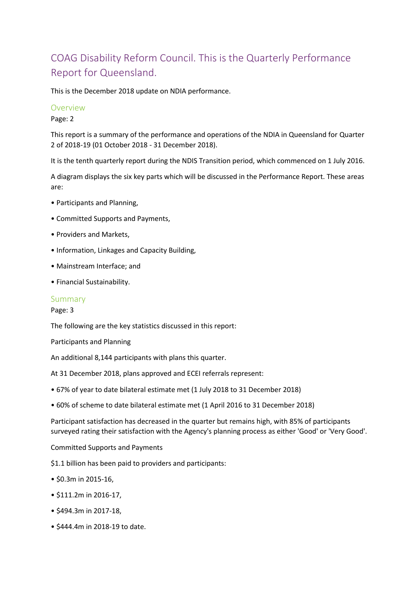# COAG Disability Reform Council. This is the Quarterly Performance Report for Queensland.

This is the December 2018 update on NDIA performance.

#### Overview

Page: 2

This report is a summary of the performance and operations of the NDIA in Queensland for Quarter 2 of 2018-19 (01 October 2018 - 31 December 2018).

It is the tenth quarterly report during the NDIS Transition period, which commenced on 1 July 2016.

A diagram displays the six key parts which will be discussed in the Performance Report. These areas are:

- Participants and Planning,
- Committed Supports and Payments,
- Providers and Markets,
- Information, Linkages and Capacity Building,
- Mainstream Interface; and
- Financial Sustainability.

#### Summary

Page: 3

The following are the key statistics discussed in this report:

Participants and Planning

An additional 8,144 participants with plans this quarter.

At 31 December 2018, plans approved and ECEI referrals represent:

- 67% of year to date bilateral estimate met (1 July 2018 to 31 December 2018)
- 60% of scheme to date bilateral estimate met (1 April 2016 to 31 December 2018)

Participant satisfaction has decreased in the quarter but remains high, with 85% of participants surveyed rating their satisfaction with the Agency's planning process as either 'Good' or 'Very Good'.

Committed Supports and Payments

\$1.1 billion has been paid to providers and participants:

- \$0.3m in 2015-16,
- \$111.2m in 2016-17,
- \$494.3m in 2017-18,
- \$444.4m in 2018-19 to date.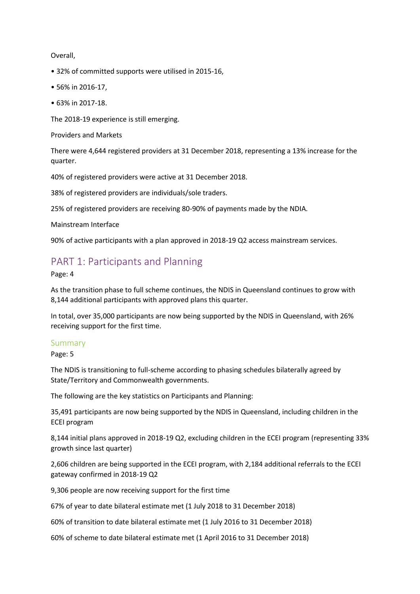Overall,

- 32% of committed supports were utilised in 2015-16,
- 56% in 2016-17,
- 63% in 2017-18.

The 2018-19 experience is still emerging.

Providers and Markets

There were 4,644 registered providers at 31 December 2018, representing a 13% increase for the quarter.

40% of registered providers were active at 31 December 2018.

38% of registered providers are individuals/sole traders.

25% of registered providers are receiving 80-90% of payments made by the NDIA.

Mainstream Interface

90% of active participants with a plan approved in 2018-19 Q2 access mainstream services.

# PART 1: Participants and Planning

Page: 4

As the transition phase to full scheme continues, the NDIS in Queensland continues to grow with 8,144 additional participants with approved plans this quarter.

In total, over 35,000 participants are now being supported by the NDIS in Queensland, with 26% receiving support for the first time.

#### Summary

Page: 5

The NDIS is transitioning to full-scheme according to phasing schedules bilaterally agreed by State/Territory and Commonwealth governments.

The following are the key statistics on Participants and Planning:

35,491 participants are now being supported by the NDIS in Queensland, including children in the ECEI program

8,144 initial plans approved in 2018-19 Q2, excluding children in the ECEI program (representing 33% growth since last quarter)

2,606 children are being supported in the ECEI program, with 2,184 additional referrals to the ECEI gateway confirmed in 2018-19 Q2

9,306 people are now receiving support for the first time

67% of year to date bilateral estimate met (1 July 2018 to 31 December 2018)

60% of transition to date bilateral estimate met (1 July 2016 to 31 December 2018)

60% of scheme to date bilateral estimate met (1 April 2016 to 31 December 2018)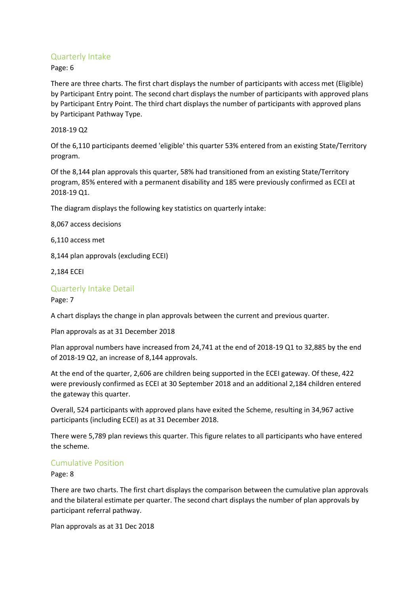## Quarterly Intake

Page: 6

There are three charts. The first chart displays the number of participants with access met (Eligible) by Participant Entry point. The second chart displays the number of participants with approved plans by Participant Entry Point. The third chart displays the number of participants with approved plans by Participant Pathway Type.

## 2018-19 Q2

Of the 6,110 participants deemed 'eligible' this quarter 53% entered from an existing State/Territory program.

Of the 8,144 plan approvals this quarter, 58% had transitioned from an existing State/Territory program, 85% entered with a permanent disability and 185 were previously confirmed as ECEI at 2018-19 Q1.

The diagram displays the following key statistics on quarterly intake:

8,067 access decisions

6,110 access met

8,144 plan approvals (excluding ECEI)

2,184 ECEI

## Quarterly Intake Detail

Page: 7

A chart displays the change in plan approvals between the current and previous quarter.

Plan approvals as at 31 December 2018

Plan approval numbers have increased from 24,741 at the end of 2018-19 Q1 to 32,885 by the end of 2018-19 Q2, an increase of 8,144 approvals.

At the end of the quarter, 2,606 are children being supported in the ECEI gateway. Of these, 422 were previously confirmed as ECEI at 30 September 2018 and an additional 2,184 children entered the gateway this quarter.

Overall, 524 participants with approved plans have exited the Scheme, resulting in 34,967 active participants (including ECEI) as at 31 December 2018.

There were 5,789 plan reviews this quarter. This figure relates to all participants who have entered the scheme.

## Cumulative Position

Page: 8

There are two charts. The first chart displays the comparison between the cumulative plan approvals and the bilateral estimate per quarter. The second chart displays the number of plan approvals by participant referral pathway.

Plan approvals as at 31 Dec 2018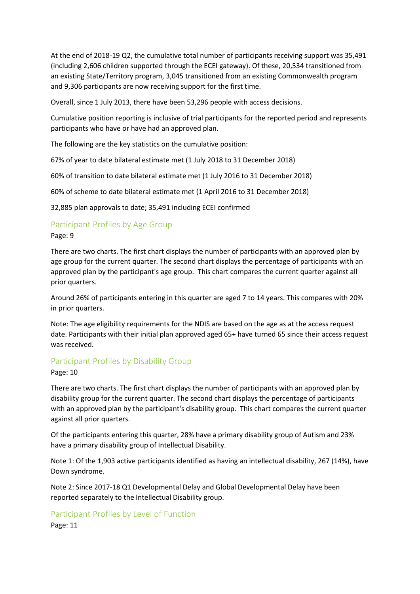At the end of 2018-19 Q2, the cumulative total number of participants receiving support was 35,491 (including 2,606 children supported through the ECEI gateway). Of these, 20,534 transitioned from an existing State/Territory program, 3,045 transitioned from an existing Commonwealth program and 9,306 participants are now receiving support for the first time.

Overall, since 1 July 2013, there have been 53,296 people with access decisions.

Cumulative position reporting is inclusive of trial participants for the reported period and represents participants who have or have had an approved plan.

The following are the key statistics on the cumulative position:

67% of year to date bilateral estimate met (1 July 2018 to 31 December 2018)

60% of transition to date bilateral estimate met (1 July 2016 to 31 December 2018)

60% of scheme to date bilateral estimate met (1 April 2016 to 31 December 2018)

32,885 plan approvals to date; 35,491 including ECEI confirmed

#### Participant Profiles by Age Group

#### Page: 9

There are two charts. The first chart displays the number of participants with an approved plan by age group for the current quarter. The second chart displays the percentage of participants with an approved plan by the participant's age group. This chart compares the current quarter against all prior quarters.

Around 26% of participants entering in this quarter are aged 7 to 14 years. This compares with 20% in prior quarters.

Note: The age eligibility requirements for the NDIS are based on the age as at the access request date. Participants with their initial plan approved aged 65+ have turned 65 since their access request was received.

#### Participant Profiles by Disability Group

#### Page: 10

There are two charts. The first chart displays the number of participants with an approved plan by disability group for the current quarter. The second chart displays the percentage of participants with an approved plan by the participant's disability group. This chart compares the current quarter against all prior quarters.

Of the participants entering this quarter, 28% have a primary disability group of Autism and 23% have a primary disability group of Intellectual Disability.

Note 1: Of the 1,903 active participants identified as having an intellectual disability, 267 (14%), have Down syndrome.

Note 2: Since 2017-18 Q1 Developmental Delay and Global Developmental Delay have been reported separately to the Intellectual Disability group.

#### Participant Profiles by Level of Function

Page: 11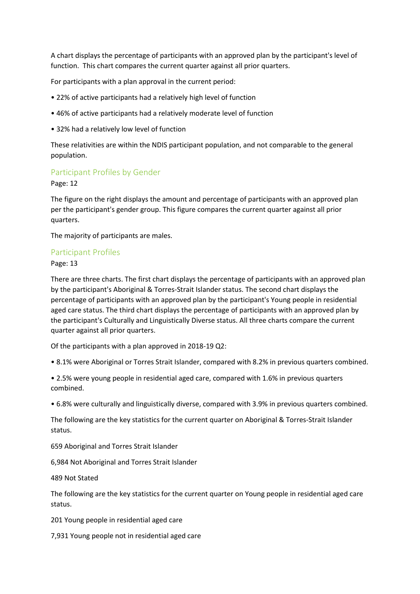A chart displays the percentage of participants with an approved plan by the participant's level of function. This chart compares the current quarter against all prior quarters.

For participants with a plan approval in the current period:

- 22% of active participants had a relatively high level of function
- 46% of active participants had a relatively moderate level of function
- 32% had a relatively low level of function

These relativities are within the NDIS participant population, and not comparable to the general population.

## Participant Profiles by Gender

Page: 12

The figure on the right displays the amount and percentage of participants with an approved plan per the participant's gender group. This figure compares the current quarter against all prior quarters.

The majority of participants are males.

#### Participant Profiles

Page: 13

There are three charts. The first chart displays the percentage of participants with an approved plan by the participant's Aboriginal & Torres-Strait Islander status. The second chart displays the percentage of participants with an approved plan by the participant's Young people in residential aged care status. The third chart displays the percentage of participants with an approved plan by the participant's Culturally and Linguistically Diverse status. All three charts compare the current quarter against all prior quarters.

Of the participants with a plan approved in 2018-19 Q2:

• 8.1% were Aboriginal or Torres Strait Islander, compared with 8.2% in previous quarters combined.

• 2.5% were young people in residential aged care, compared with 1.6% in previous quarters combined.

• 6.8% were culturally and linguistically diverse, compared with 3.9% in previous quarters combined.

The following are the key statistics for the current quarter on Aboriginal & Torres-Strait Islander status.

659 Aboriginal and Torres Strait Islander

6,984 Not Aboriginal and Torres Strait Islander

489 Not Stated

The following are the key statistics for the current quarter on Young people in residential aged care status.

201 Young people in residential aged care

7,931 Young people not in residential aged care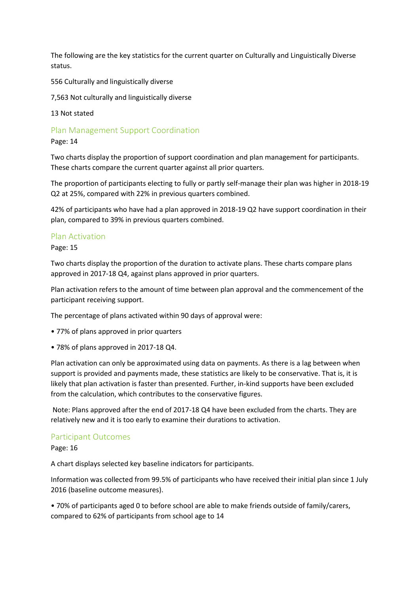The following are the key statistics for the current quarter on Culturally and Linguistically Diverse status.

556 Culturally and linguistically diverse

7,563 Not culturally and linguistically diverse

13 Not stated

Plan Management Support Coordination

Page: 14

Two charts display the proportion of support coordination and plan management for participants. These charts compare the current quarter against all prior quarters.

The proportion of participants electing to fully or partly self-manage their plan was higher in 2018-19 Q2 at 25%, compared with 22% in previous quarters combined.

42% of participants who have had a plan approved in 2018-19 Q2 have support coordination in their plan, compared to 39% in previous quarters combined.

#### Plan Activation

Page: 15

Two charts display the proportion of the duration to activate plans. These charts compare plans approved in 2017-18 Q4, against plans approved in prior quarters.

Plan activation refers to the amount of time between plan approval and the commencement of the participant receiving support.

The percentage of plans activated within 90 days of approval were:

- 77% of plans approved in prior quarters
- 78% of plans approved in 2017-18 Q4.

Plan activation can only be approximated using data on payments. As there is a lag between when support is provided and payments made, these statistics are likely to be conservative. That is, it is likely that plan activation is faster than presented. Further, in-kind supports have been excluded from the calculation, which contributes to the conservative figures.

Note: Plans approved after the end of 2017-18 Q4 have been excluded from the charts. They are relatively new and it is too early to examine their durations to activation.

#### Participant Outcomes

Page: 16

A chart displays selected key baseline indicators for participants.

Information was collected from 99.5% of participants who have received their initial plan since 1 July 2016 (baseline outcome measures).

• 70% of participants aged 0 to before school are able to make friends outside of family/carers, compared to 62% of participants from school age to 14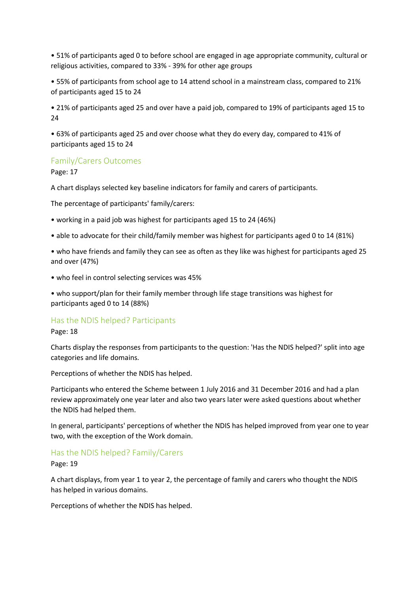• 51% of participants aged 0 to before school are engaged in age appropriate community, cultural or religious activities, compared to 33% - 39% for other age groups

• 55% of participants from school age to 14 attend school in a mainstream class, compared to 21% of participants aged 15 to 24

• 21% of participants aged 25 and over have a paid job, compared to 19% of participants aged 15 to 24

• 63% of participants aged 25 and over choose what they do every day, compared to 41% of participants aged 15 to 24

#### Family/Carers Outcomes

Page: 17

A chart displays selected key baseline indicators for family and carers of participants.

The percentage of participants' family/carers:

- working in a paid job was highest for participants aged 15 to 24 (46%)
- able to advocate for their child/family member was highest for participants aged 0 to 14 (81%)
- who have friends and family they can see as often as they like was highest for participants aged 25 and over (47%)
- who feel in control selecting services was 45%

• who support/plan for their family member through life stage transitions was highest for participants aged 0 to 14 (88%)

#### Has the NDIS helped? Participants

#### Page: 18

Charts display the responses from participants to the question: 'Has the NDIS helped?' split into age categories and life domains.

Perceptions of whether the NDIS has helped.

Participants who entered the Scheme between 1 July 2016 and 31 December 2016 and had a plan review approximately one year later and also two years later were asked questions about whether the NDIS had helped them.

In general, participants' perceptions of whether the NDIS has helped improved from year one to year two, with the exception of the Work domain.

#### Has the NDIS helped? Family/Carers

Page: 19

A chart displays, from year 1 to year 2, the percentage of family and carers who thought the NDIS has helped in various domains.

Perceptions of whether the NDIS has helped.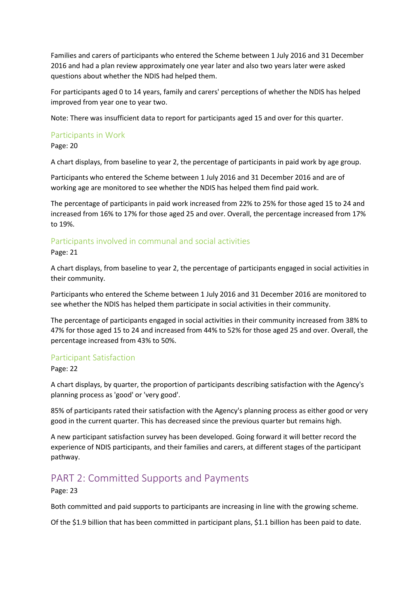Families and carers of participants who entered the Scheme between 1 July 2016 and 31 December 2016 and had a plan review approximately one year later and also two years later were asked questions about whether the NDIS had helped them.

For participants aged 0 to 14 years, family and carers' perceptions of whether the NDIS has helped improved from year one to year two.

Note: There was insufficient data to report for participants aged 15 and over for this quarter.

#### Participants in Work

Page: 20

A chart displays, from baseline to year 2, the percentage of participants in paid work by age group.

Participants who entered the Scheme between 1 July 2016 and 31 December 2016 and are of working age are monitored to see whether the NDIS has helped them find paid work.

The percentage of participants in paid work increased from 22% to 25% for those aged 15 to 24 and increased from 16% to 17% for those aged 25 and over. Overall, the percentage increased from 17% to 19%.

## Participants involved in communal and social activities

Page: 21

A chart displays, from baseline to year 2, the percentage of participants engaged in social activities in their community.

Participants who entered the Scheme between 1 July 2016 and 31 December 2016 are monitored to see whether the NDIS has helped them participate in social activities in their community.

The percentage of participants engaged in social activities in their community increased from 38% to 47% for those aged 15 to 24 and increased from 44% to 52% for those aged 25 and over. Overall, the percentage increased from 43% to 50%.

#### Participant Satisfaction

Page: 22

A chart displays, by quarter, the proportion of participants describing satisfaction with the Agency's planning process as 'good' or 'very good'.

85% of participants rated their satisfaction with the Agency's planning process as either good or very good in the current quarter. This has decreased since the previous quarter but remains high.

A new participant satisfaction survey has been developed. Going forward it will better record the experience of NDIS participants, and their families and carers, at different stages of the participant pathway.

# PART 2: Committed Supports and Payments

Page: 23

Both committed and paid supports to participants are increasing in line with the growing scheme.

Of the \$1.9 billion that has been committed in participant plans, \$1.1 billion has been paid to date.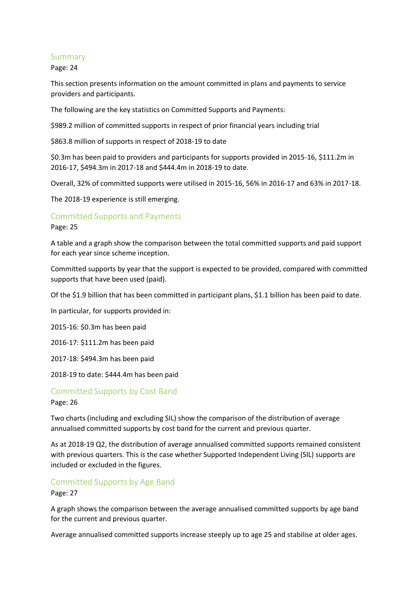#### Summary

Page: 24

This section presents information on the amount committed in plans and payments to service providers and participants.

The following are the key statistics on Committed Supports and Payments:

\$989.2 million of committed supports in respect of prior financial years including trial

\$863.8 million of supports in respect of 2018-19 to date

\$0.3m has been paid to providers and participants for supports provided in 2015-16, \$111.2m in 2016-17, \$494.3m in 2017-18 and \$444.4m in 2018-19 to date.

Overall, 32% of committed supports were utilised in 2015-16, 56% in 2016-17 and 63% in 2017-18.

The 2018-19 experience is still emerging.

## Committed Supports and Payments

Page: 25

A table and a graph show the comparison between the total committed supports and paid support for each year since scheme inception.

Committed supports by year that the support is expected to be provided, compared with committed supports that have been used (paid).

Of the \$1.9 billion that has been committed in participant plans, \$1.1 billion has been paid to date.

In particular, for supports provided in:

2015-16: \$0.3m has been paid

2016-17: \$111.2m has been paid

2017-18: \$494.3m has been paid

2018-19 to date: \$444.4m has been paid

## Committed Supports by Cost Band Page: 26

Two charts (including and excluding SIL) show the comparison of the distribution of average annualised committed supports by cost band for the current and previous quarter.

As at 2018-19 Q2, the distribution of average annualised committed supports remained consistent with previous quarters. This is the case whether Supported Independent Living (SIL) supports are included or excluded in the figures.

## Committed Supports by Age Band

Page: 27

A graph shows the comparison between the average annualised committed supports by age band for the current and previous quarter.

Average annualised committed supports increase steeply up to age 25 and stabilise at older ages.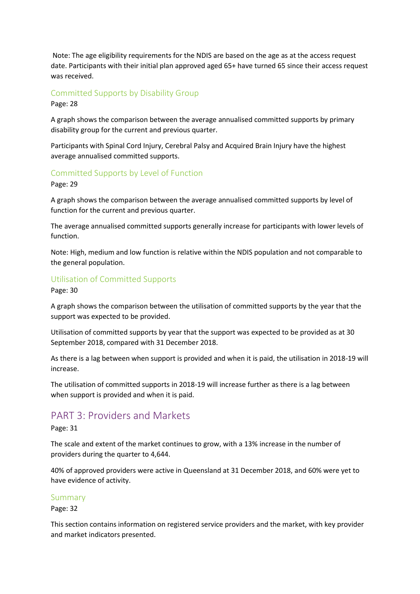Note: The age eligibility requirements for the NDIS are based on the age as at the access request date. Participants with their initial plan approved aged 65+ have turned 65 since their access request was received.

## Committed Supports by Disability Group

Page: 28

A graph shows the comparison between the average annualised committed supports by primary disability group for the current and previous quarter.

Participants with Spinal Cord Injury, Cerebral Palsy and Acquired Brain Injury have the highest average annualised committed supports.

## Committed Supports by Level of Function

Page: 29

A graph shows the comparison between the average annualised committed supports by level of function for the current and previous quarter.

The average annualised committed supports generally increase for participants with lower levels of function.

Note: High, medium and low function is relative within the NDIS population and not comparable to the general population.

## Utilisation of Committed Supports

Page: 30

A graph shows the comparison between the utilisation of committed supports by the year that the support was expected to be provided.

Utilisation of committed supports by year that the support was expected to be provided as at 30 September 2018, compared with 31 December 2018.

As there is a lag between when support is provided and when it is paid, the utilisation in 2018-19 will increase.

The utilisation of committed supports in 2018-19 will increase further as there is a lag between when support is provided and when it is paid.

# PART 3: Providers and Markets

Page: 31

The scale and extent of the market continues to grow, with a 13% increase in the number of providers during the quarter to 4,644.

40% of approved providers were active in Queensland at 31 December 2018, and 60% were yet to have evidence of activity.

#### Summary

Page: 32

This section contains information on registered service providers and the market, with key provider and market indicators presented.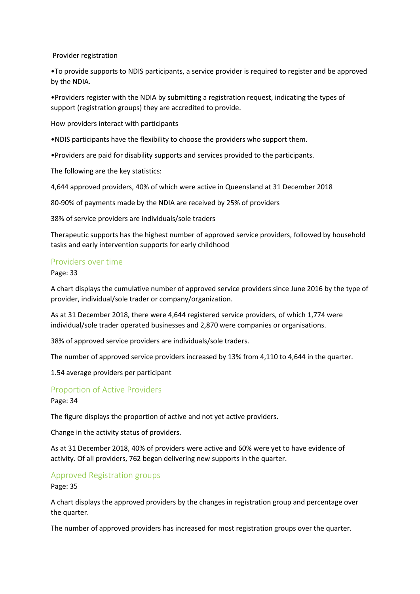Provider registration

•To provide supports to NDIS participants, a service provider is required to register and be approved by the NDIA.

•Providers register with the NDIA by submitting a registration request, indicating the types of support (registration groups) they are accredited to provide.

How providers interact with participants

•NDIS participants have the flexibility to choose the providers who support them.

•Providers are paid for disability supports and services provided to the participants.

The following are the key statistics:

4,644 approved providers, 40% of which were active in Queensland at 31 December 2018

80-90% of payments made by the NDIA are received by 25% of providers

38% of service providers are individuals/sole traders

Therapeutic supports has the highest number of approved service providers, followed by household tasks and early intervention supports for early childhood

#### Providers over time

Page: 33

A chart displays the cumulative number of approved service providers since June 2016 by the type of provider, individual/sole trader or company/organization.

As at 31 December 2018, there were 4,644 registered service providers, of which 1,774 were individual/sole trader operated businesses and 2,870 were companies or organisations.

38% of approved service providers are individuals/sole traders.

The number of approved service providers increased by 13% from 4,110 to 4,644 in the quarter.

1.54 average providers per participant

#### Proportion of Active Providers

Page: 34

The figure displays the proportion of active and not yet active providers.

Change in the activity status of providers.

As at 31 December 2018, 40% of providers were active and 60% were yet to have evidence of activity. Of all providers, 762 began delivering new supports in the quarter.

#### Approved Registration groups

Page: 35

A chart displays the approved providers by the changes in registration group and percentage over the quarter.

The number of approved providers has increased for most registration groups over the quarter.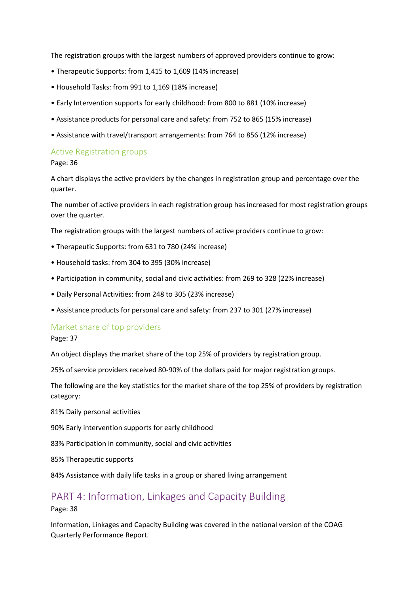The registration groups with the largest numbers of approved providers continue to grow:

- Therapeutic Supports: from 1,415 to 1,609 (14% increase)
- Household Tasks: from 991 to 1,169 (18% increase)
- Early Intervention supports for early childhood: from 800 to 881 (10% increase)
- Assistance products for personal care and safety: from 752 to 865 (15% increase)
- Assistance with travel/transport arrangements: from 764 to 856 (12% increase)

#### Active Registration groups

Page: 36

A chart displays the active providers by the changes in registration group and percentage over the quarter.

The number of active providers in each registration group has increased for most registration groups over the quarter.

The registration groups with the largest numbers of active providers continue to grow:

- Therapeutic Supports: from 631 to 780 (24% increase)
- Household tasks: from 304 to 395 (30% increase)
- Participation in community, social and civic activities: from 269 to 328 (22% increase)
- Daily Personal Activities: from 248 to 305 (23% increase)
- Assistance products for personal care and safety: from 237 to 301 (27% increase)

## Market share of top providers

Page: 37

An object displays the market share of the top 25% of providers by registration group.

25% of service providers received 80-90% of the dollars paid for major registration groups.

The following are the key statistics for the market share of the top 25% of providers by registration category:

81% Daily personal activities

90% Early intervention supports for early childhood

83% Participation in community, social and civic activities

85% Therapeutic supports

84% Assistance with daily life tasks in a group or shared living arrangement

# PART 4: Information, Linkages and Capacity Building

Page: 38

Information, Linkages and Capacity Building was covered in the national version of the COAG Quarterly Performance Report.